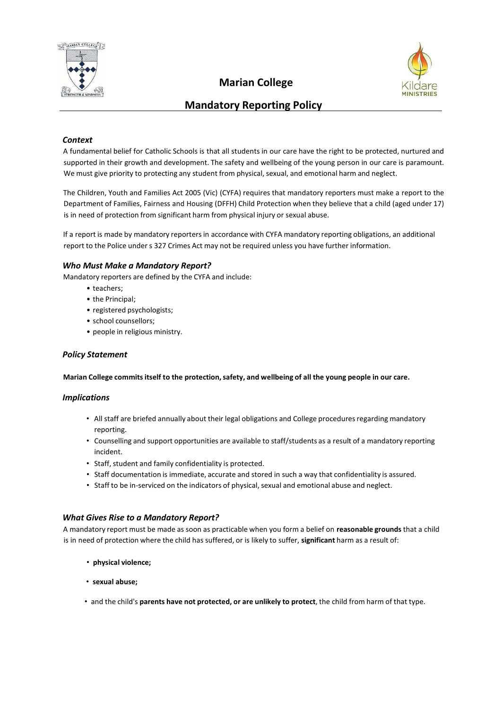

# **Marian College**



# **Mandatory Reporting Policy**

# *Context*

A fundamental belief for Catholic Schools is that all students in our care have the right to be protected, nurtured and supported in their growth and development. The safety and wellbeing of the young person in our care is paramount. We must give priority to protecting any student from physical, sexual, and emotional harm and neglect.

The Children, Youth and Families Act 2005 (Vic) (CYFA) requires that mandatory reporters must make a report to the Department of Families, Fairness and Housing (DFFH) Child Protection when they believe that a child (aged under 17) is in need of protection from significant harm from physical injury or sexual abuse.

If a report is made by mandatory reportersin accordance with CYFA mandatory reporting obligations, an additional report to the Police under s 327 Crimes Act may not be required unless you have further information.

#### *Who Must Make a Mandatory Report?*

Mandatory reporters are defined by the CYFA and include:

- teachers;
	- the Principal;
	- registered psychologists;
	- school counsellors;
	- people in religious ministry.

# *Policy Statement*

**Marian College commitsitself to the protection,safety, and wellbeing of all the young people in our care.**

#### *Implications*

- All staff are briefed annually about their legal obligations and College procedures regarding mandatory reporting.
- Counselling and support opportunities are available to staff/students as a result of a mandatory reporting incident.
- Staff, student and family confidentiality is protected.
- Staff documentation is immediate, accurate and stored in such a way that confidentiality is assured.
- Staff to be in-serviced on the indicators of physical, sexual and emotional abuse and neglect.

#### *What Gives Rise to a Mandatory Report?*

A mandatory report must be made as soon as practicable when you form a belief on **reasonable grounds** that a child is in need of protection where the child has suffered, or is likely to suffer, **significant** harm as a result of:

- **physical violence;**
- **sexual abuse;**
- and the child's **parents have not protected, or are unlikely to protect**, the child from harm of that type.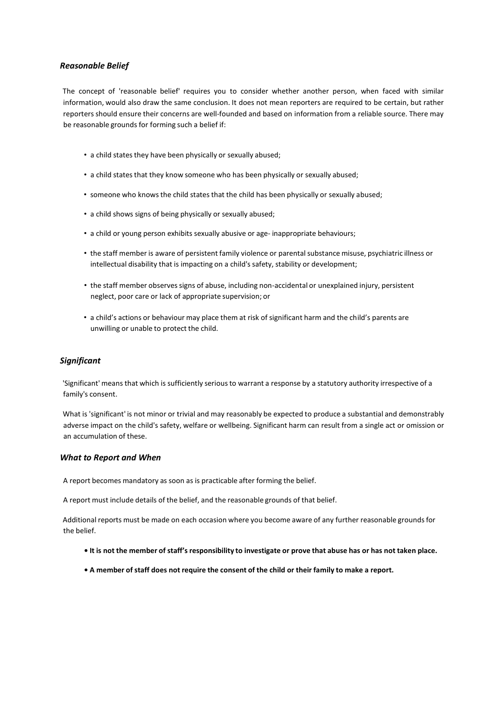# *Reasonable Belief*

The concept of 'reasonable belief' requires you to consider whether another person, when faced with similar information, would also draw the same conclusion. It does not mean reporters are required to be certain, but rather reporters should ensure their concerns are well-founded and based on information from a reliable source. There may be reasonable grounds for forming such a belief if:

- a child states they have been physically or sexually abused;
- a child states that they know someone who has been physically or sexually abused;
- someone who knowsthe child states that the child has been physically or sexually abused;
- a child shows signs of being physically or sexually abused;
- a child or young person exhibits sexually abusive or age- inappropriate behaviours;
- the staff member is aware of persistent family violence or parentalsubstance misuse, psychiatric illness or intellectual disability that is impacting on a child's safety, stability or development;
- the staff member observes signs of abuse, including non-accidental or unexplained injury, persistent neglect, poor care or lack of appropriate supervision; or
- a child's actions or behaviour may place them at risk of significant harm and the child's parents are unwilling or unable to protect the child.

#### *Significant*

'Significant' means that which is sufficiently serious to warrant a response by a statutory authority irrespective of a family's consent.

What is 'significant' is not minor or trivial and may reasonably be expected to produce a substantial and demonstrably adverse impact on the child's safety, welfare or wellbeing. Significant harm can result from a single act or omission or an accumulation of these.

#### *What to Report and When*

A report becomes mandatory as soon as is practicable after forming the belief.

A report must include details of the belief, and the reasonable grounds of that belief.

Additional reports must be made on each occasion where you become aware of any further reasonable grounds for the belief.

- . It is not the member of staff's responsibility to investigate or prove that abuse has or has not taken place.
- . A member of staff does not require the consent of the child or their family to make a report.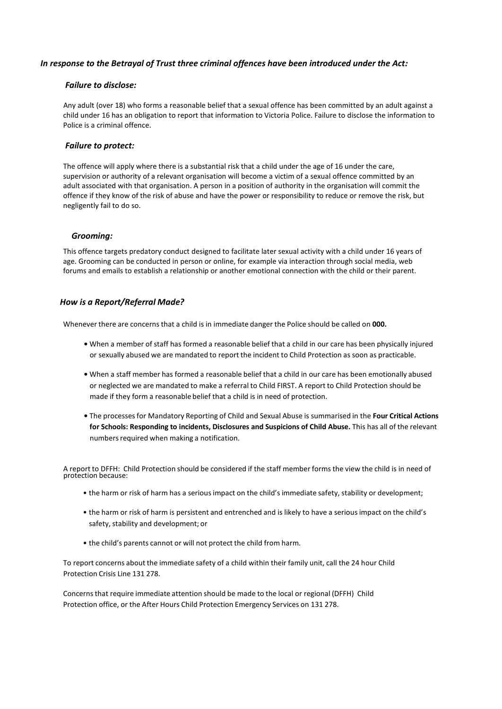# *In response to the Betrayal of Trust three criminal offences have been introduced under the Act:*

#### *Failure to disclose:*

 Any adult (over 18) who forms a reasonable belief that a sexual offence has been committed by an adult against a child under 16 has an obligation to report that information to Victoria Police. Failure to disclose the information to Police is a criminal offence.

#### *Failure to protect:*

The offence will apply where there is a substantial risk that a child under the age of 16 under the care, supervision or authority of a relevant organisation will become a victim of a sexual offence committed by an adult associated with that organisation. A person in a position of authority in the organisation will commit the offence if they know of the risk of abuse and have the power or responsibility to reduce or remove the risk, but negligently fail to do so.

#### *Grooming:*

This offence targets predatory conduct designed to facilitate later sexual activity with a child under 16 years of age. Grooming can be conducted in person or online, for example via interaction through social media, web forums and emails to establish a relationship or another emotional connection with the child or their parent.

#### *How is a Report/Referral Made?*

Whenever there are concernsthat a child is in immediate danger the Police should be called on **000.**

- **•** When a member of staff has formed a reasonable belief that a child in our care has been physically injured or sexually abused we are mandated to report the incident to Child Protection as soon as practicable.
- **•** When a staff member has formed a reasonable belief that a child in our care has been emotionally abused or neglected we are mandated to make a referral to Child FIRST. A report to Child Protection should be made if they form a reasonable belief that a child is in need of protection.
- **•** The processesfor Mandatory Reporting of Child and Sexual Abuse is summarised in the **Four Critical Actions for Schools: Responding to incidents, Disclosures and Suspicions of Child Abuse.** This has all of the relevant numbers required when making a notification.

A report to DFFH: Child Protection should be considered if the staff member forms the view the child is in need of protection because:

- the harm or risk of harm has a seriousimpact on the child's immediate safety, stability or development;
- the harm or risk of harm is persistent and entrenched and is likely to have a seriousimpact on the child's safety, stability and development; or
- the child's parents cannot or will not protect the child from harm.

To report concerns about the immediate safety of a child within their family unit, call the 24 hour Child Protection Crisis Line 131 278.

Concernsthat require immediate attention should be made to the local or regional (DFFH) Child Protection office, or the After Hours Child Protection Emergency Services on 131 278.